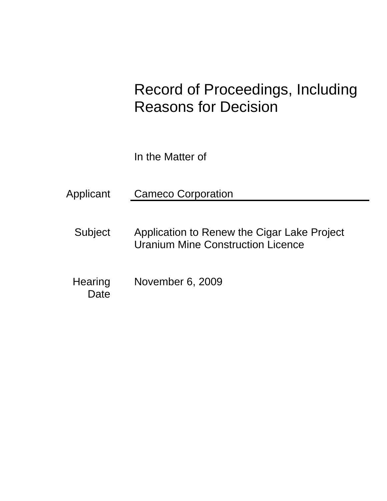# Record of Proceedings, Including Reasons for Decision

In the Matter of

- Subject Application to Renew the Cigar Lake Project Uranium Mine Construction Licence
- **Hearing** Date November 6, 2009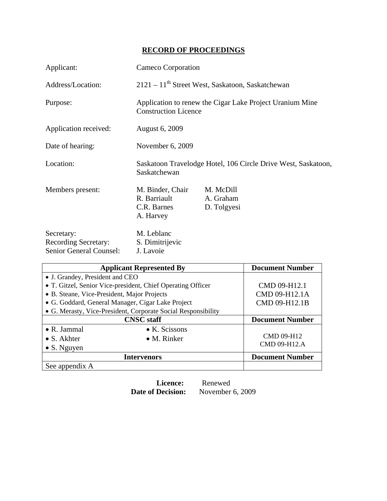# **RECORD OF PROCEEDINGS**

| Applicant:                                                                  | Cameco Corporation                                                                      |                                       |  |
|-----------------------------------------------------------------------------|-----------------------------------------------------------------------------------------|---------------------------------------|--|
| Address/Location:                                                           | $2121 - 11$ <sup>th</sup> Street West, Saskatoon, Saskatchewan                          |                                       |  |
| Purpose:                                                                    | Application to renew the Cigar Lake Project Uranium Mine<br><b>Construction Licence</b> |                                       |  |
| Application received:                                                       | <b>August 6, 2009</b>                                                                   |                                       |  |
| Date of hearing:                                                            | November 6, 2009                                                                        |                                       |  |
| Location:                                                                   | Saskatoon Travelodge Hotel, 106 Circle Drive West, Saskatoon,<br>Saskatchewan           |                                       |  |
| Members present:                                                            | M. Binder, Chair<br>R. Barriault<br>C.R. Barnes<br>A. Harvey                            | M. McDill<br>A. Graham<br>D. Tolgyesi |  |
| Secretary:<br><b>Recording Secretary:</b><br><b>Senior General Counsel:</b> | M. Leblanc<br>S. Dimitrijevic<br>J. Lavoie                                              |                                       |  |

| <b>Applicant Represented By</b>                               | <b>Document Number</b> |                        |
|---------------------------------------------------------------|------------------------|------------------------|
| • J. Grandey, President and CEO                               |                        |                        |
| • T. Gitzel, Senior Vice-president, Chief Operating Officer   |                        | CMD 09-H12.1           |
| • B. Steane, Vice-President, Major Projects                   |                        | CMD 09-H12.1A          |
| • G. Goddard, General Manager, Cigar Lake Project             |                        | CMD 09-H12.1B          |
| • G. Merasty, Vice-President, Corporate Social Responsibility |                        |                        |
| <b>CNSC</b> staff                                             |                        | <b>Document Number</b> |
| $\bullet$ R. Jammal                                           | $\bullet$ K. Scissons  |                        |
| $\bullet$ S. Akhter                                           | $\bullet$ M. Rinker    | CMD 09-H12             |
| $\bullet$ S. Nguyen                                           |                        | CMD 09-H12.A           |
| <b>Intervenors</b>                                            |                        | <b>Document Number</b> |
| See appendix A                                                |                        |                        |

**Licence:** Renewed<br>Date of Decision: November

November 6, 2009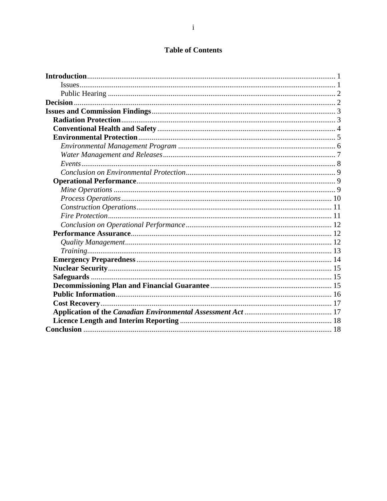# **Table of Contents**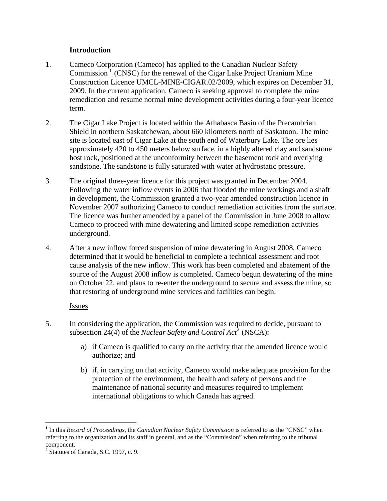## **Introduction**

- <span id="page-3-0"></span>1. Cameco Corporation (Cameco) has applied to the Canadian Nuclear Safety Commission<sup>1</sup> (CNSC) for the renewal of the Cigar Lake Project Uranium Mine Construction Licence UMCL-MINE-CIGAR.02/2009, which expires on December 31, 2009. In the current application, Cameco is seeking approval to complete the mine remediation and resume normal mine development activities during a four-year licence term.
- 2. The Cigar Lake Project is located within the Athabasca Basin of the Precambrian Shield in northern Saskatchewan, about 660 kilometers north of Saskatoon. The mine site is located east of Cigar Lake at the south end of Waterbury Lake. The ore lies approximately 420 to 450 meters below surface, in a highly altered clay and sandstone host rock, positioned at the unconformity between the basement rock and overlying sandstone. The sandstone is fully saturated with water at hydrostatic pressure.
- 3. The original three-year licence for this project was granted in December 2004. Following the water inflow events in 2006 that flooded the mine workings and a shaft in development, the Commission granted a two-year amended construction licence in November 2007 authorizing Cameco to conduct remediation activities from the surface. The licence was further amended by a panel of the Commission in June 2008 to allow Cameco to proceed with mine dewatering and limited scope remediation activities underground.
- 4. After a new inflow forced suspension of mine dewatering in August 2008, Cameco determined that it would be beneficial to complete a technical assessment and root cause analysis of the new inflow. This work has been completed and abatement of the source of the August 2008 inflow is completed. Cameco begun dewatering of the mine on October 22, and plans to re-enter the underground to secure and assess the mine, so that restoring of underground mine services and facilities can begin.

## Issues

- 5. In considering the application, the Commission was required to decide, pursuant to subsection [2](#page-3-2)4(4) of the *Nuclear Safety and Control Act*<sup>2</sup> (NSCA):
	- a) if Cameco is qualified to carry on the activity that the amended licence would authorize; and
	- b) if, in carrying on that activity, Cameco would make adequate provision for the protection of the environment, the health and safety of persons and the maintenance of national security and measures required to implement international obligations to which Canada has agreed.

 $\overline{a}$ 

<span id="page-3-1"></span><sup>&</sup>lt;sup>1</sup> In this *Record of Proceedings*, the *Canadian Nuclear Safety Commission* is referred to as the "CNSC" when referring to the organization and its staff in general, and as the "Commission" when referring to the tribunal component.

<span id="page-3-2"></span><sup>2</sup> Statutes of Canada, S.C. 1997, c. 9.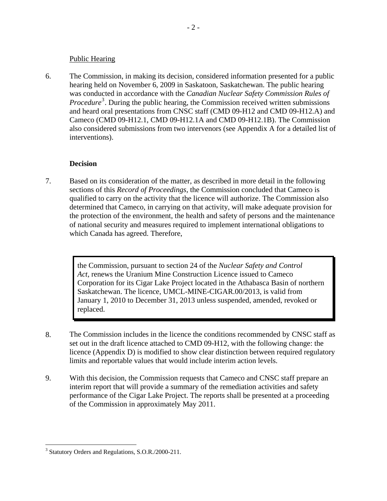#### Public Hearing

<span id="page-4-0"></span>6. The Commission, in making its decision, considered information presented for a public hearing held on November 6, 2009 in Saskatoon, Saskatchewan. The public hearing was conducted in accordance with the *Canadian Nuclear Safety Commission Rules of*  Procedure<sup>[3](#page-4-1)</sup>. During the public hearing, the Commission received written submissions and heard oral presentations from CNSC staff (CMD 09-H12 and CMD 09-H12.A) and Cameco (CMD 09-H12.1, CMD 09-H12.1A and CMD 09-H12.1B). The Commission also considered submissions from two intervenors (see Appendix A for a detailed list of interventions).

## **Decision**

7. Based on its consideration of the matter, as described in more detail in the following sections of this *Record of Proceedings*, the Commission concluded that Cameco is qualified to carry on the activity that the licence will authorize. The Commission also determined that Cameco, in carrying on that activity, will make adequate provision for the protection of the environment, the health and safety of persons and the maintenance of national security and measures required to implement international obligations to which Canada has agreed. Therefore,

> the Commission, pursuant to section 24 of the *Nuclear Safety and Control Act*, renews the Uranium Mine Construction Licence issued to Cameco Corporation for its Cigar Lake Project located in the Athabasca Basin of northern Saskatchewan. The licence, UMCL-MINE-CIGAR.00/2013, is valid from January 1, 2010 to December 31, 2013 unless suspended, amended, revoked or replaced.

- 8. The Commission includes in the licence the conditions recommended by CNSC staff as set out in the draft licence attached to CMD 09-H12, with the following change: the licence (Appendix D) is modified to show clear distinction between required regulatory limits and reportable values that would include interim action levels.
- 9. With this decision, the Commission requests that Cameco and CNSC staff prepare an interim report that will provide a summary of the remediation activities and safety performance of the Cigar Lake Project. The reports shall be presented at a proceeding of the Commission in approximately May 2011.

<u>.</u>

<span id="page-4-1"></span><sup>&</sup>lt;sup>3</sup> Statutory Orders and Regulations, S.O.R./2000-211.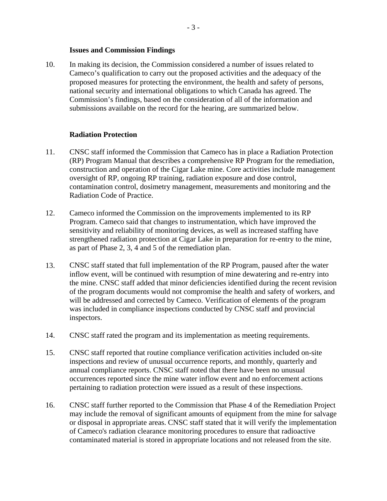#### **Issues and Commission Findings**

<span id="page-5-0"></span>10. In making its decision, the Commission considered a number of issues related to Cameco's qualification to carry out the proposed activities and the adequacy of the proposed measures for protecting the environment, the health and safety of persons, national security and international obligations to which Canada has agreed. The Commission's findings, based on the consideration of all of the information and submissions available on the record for the hearing, are summarized below.

#### **Radiation Protection**

- 11. CNSC staff informed the Commission that Cameco has in place a Radiation Protection (RP) Program Manual that describes a comprehensive RP Program for the remediation, construction and operation of the Cigar Lake mine. Core activities include management oversight of RP, ongoing RP training, radiation exposure and dose control, contamination control, dosimetry management, measurements and monitoring and the Radiation Code of Practice.
- 12. Cameco informed the Commission on the improvements implemented to its RP Program. Cameco said that changes to instrumentation, which have improved the sensitivity and reliability of monitoring devices, as well as increased staffing have strengthened radiation protection at Cigar Lake in preparation for re-entry to the mine, as part of Phase 2, 3, 4 and 5 of the remediation plan.
- 13. CNSC staff stated that full implementation of the RP Program, paused after the water inflow event, will be continued with resumption of mine dewatering and re-entry into the mine. CNSC staff added that minor deficiencies identified during the recent revision of the program documents would not compromise the health and safety of workers, and will be addressed and corrected by Cameco. Verification of elements of the program was included in compliance inspections conducted by CNSC staff and provincial inspectors.
- 14. CNSC staff rated the program and its implementation as meeting requirements.
- 15. CNSC staff reported that routine compliance verification activities included on-site inspections and review of unusual occurrence reports, and monthly, quarterly and annual compliance reports. CNSC staff noted that there have been no unusual occurrences reported since the mine water inflow event and no enforcement actions pertaining to radiation protection were issued as a result of these inspections.
- 16. CNSC staff further reported to the Commission that Phase 4 of the Remediation Project may include the removal of significant amounts of equipment from the mine for salvage or disposal in appropriate areas. CNSC staff stated that it will verify the implementation of Cameco's radiation clearance monitoring procedures to ensure that radioactive contaminated material is stored in appropriate locations and not released from the site.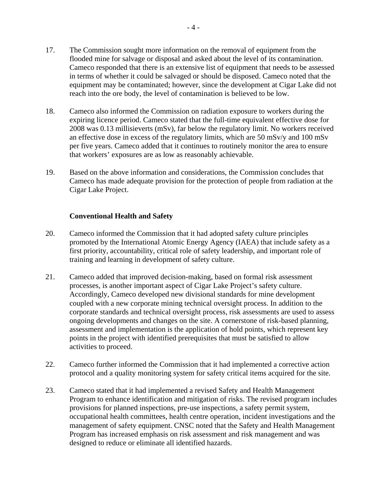- <span id="page-6-0"></span>17. The Commission sought more information on the removal of equipment from the flooded mine for salvage or disposal and asked about the level of its contamination. Cameco responded that there is an extensive list of equipment that needs to be assessed in terms of whether it could be salvaged or should be disposed. Cameco noted that the equipment may be contaminated; however, since the development at Cigar Lake did not reach into the ore body, the level of contamination is believed to be low.
- 18. Cameco also informed the Commission on radiation exposure to workers during the expiring licence period. Cameco stated that the full-time equivalent effective dose for 2008 was 0.13 millisieverts (mSv), far below the regulatory limit. No workers received an effective dose in excess of the regulatory limits, which are 50 mSv/y and 100 mSv per five years. Cameco added that it continues to routinely monitor the area to ensure that workers' exposures are as low as reasonably achievable.
- 19. Based on the above information and considerations, the Commission concludes that Cameco has made adequate provision for the protection of people from radiation at the Cigar Lake Project.

## **Conventional Health and Safety**

- 20. Cameco informed the Commission that it had adopted safety culture principles promoted by the International Atomic Energy Agency (IAEA) that include safety as a first priority, accountability, critical role of safety leadership, and important role of training and learning in development of safety culture.
- 21. Cameco added that improved decision-making, based on formal risk assessment processes, is another important aspect of Cigar Lake Project's safety culture. Accordingly, Cameco developed new divisional standards for mine development coupled with a new corporate mining technical oversight process. In addition to the corporate standards and technical oversight process, risk assessments are used to assess ongoing developments and changes on the site. A cornerstone of risk-based planning, assessment and implementation is the application of hold points, which represent key points in the project with identified prerequisites that must be satisfied to allow activities to proceed.
- 22. Cameco further informed the Commission that it had implemented a corrective action protocol and a quality monitoring system for safety critical items acquired for the site.
- 23. Cameco stated that it had implemented a revised Safety and Health Management Program to enhance identification and mitigation of risks. The revised program includes provisions for planned inspections, pre-use inspections, a safety permit system, occupational health committees, health centre operation, incident investigations and the management of safety equipment. CNSC noted that the Safety and Health Management Program has increased emphasis on risk assessment and risk management and was designed to reduce or eliminate all identified hazards.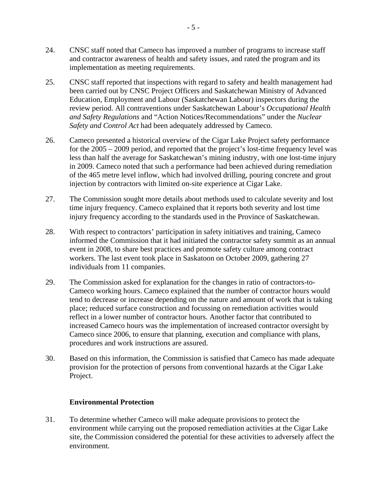- <span id="page-7-0"></span>24. CNSC staff noted that Cameco has improved a number of programs to increase staff and contractor awareness of health and safety issues, and rated the program and its implementation as meeting requirements.
- 25. CNSC staff reported that inspections with regard to safety and health management had been carried out by CNSC Project Officers and Saskatchewan Ministry of Advanced Education, Employment and Labour (Saskatchewan Labour) inspectors during the review period. All contraventions under Saskatchewan Labour's *Occupational Health and Safety Regulations* and "Action Notices/Recommendations" under the *Nuclear Safety and Control Act* had been adequately addressed by Cameco.
- 26. Cameco presented a historical overview of the Cigar Lake Project safety performance for the 2005 – 2009 period, and reported that the project's lost-time frequency level was less than half the average for Saskatchewan's mining industry, with one lost-time injury in 2009. Cameco noted that such a performance had been achieved during remediation of the 465 metre level inflow, which had involved drilling, pouring concrete and grout injection by contractors with limited on-site experience at Cigar Lake.
- 27. The Commission sought more details about methods used to calculate severity and lost time injury frequency. Cameco explained that it reports both severity and lost time injury frequency according to the standards used in the Province of Saskatchewan.
- 28. With respect to contractors' participation in safety initiatives and training, Cameco informed the Commission that it had initiated the contractor safety summit as an annual event in 2008, to share best practices and promote safety culture among contract workers. The last event took place in Saskatoon on October 2009, gathering 27 individuals from 11 companies.
- 29. The Commission asked for explanation for the changes in ratio of contractors-to-Cameco working hours. Cameco explained that the number of contractor hours would tend to decrease or increase depending on the nature and amount of work that is taking place; reduced surface construction and focussing on remediation activities would reflect in a lower number of contractor hours. Another factor that contributed to increased Cameco hours was the implementation of increased contractor oversight by Cameco since 2006, to ensure that planning, execution and compliance with plans, procedures and work instructions are assured.
- 30. Based on this information, the Commission is satisfied that Cameco has made adequate provision for the protection of persons from conventional hazards at the Cigar Lake Project.

#### **Environmental Protection**

31. To determine whether Cameco will make adequate provisions to protect the environment while carrying out the proposed remediation activities at the Cigar Lake site, the Commission considered the potential for these activities to adversely affect the environment.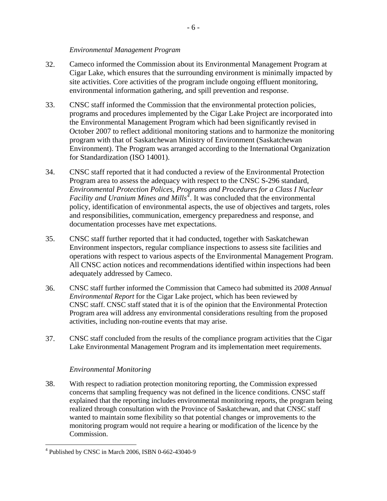#### *Environmental Management Program*

- <span id="page-8-0"></span>32. Cameco informed the Commission about its Environmental Management Program at Cigar Lake, which ensures that the surrounding environment is minimally impacted by site activities. Core activities of the program include ongoing effluent monitoring, environmental information gathering, and spill prevention and response.
- 33. CNSC staff informed the Commission that the environmental protection policies, programs and procedures implemented by the Cigar Lake Project are incorporated into the Environmental Management Program which had been significantly revised in October 2007 to reflect additional monitoring stations and to harmonize the monitoring program with that of Saskatchewan Ministry of Environment (Saskatchewan Environment). The Program was arranged according to the International Organization for Standardization (ISO 14001).
- 34. CNSC staff reported that it had conducted a review of the Environmental Protection Program area to assess the adequacy with respect to the CNSC S-296 standard, *Environmental Protection Polices, Programs and Procedures for a Class I Nuclear Facility and Uranium Mines and Mills[4](#page-8-1)* . It was concluded that the environmental policy, identification of environmental aspects, the use of objectives and targets, roles and responsibilities, communication, emergency preparedness and response, and documentation processes have met expectations.
- 35. CNSC staff further reported that it had conducted, together with Saskatchewan Environment inspectors, regular compliance inspections to assess site facilities and operations with respect to various aspects of the Environmental Management Program. All CNSC action notices and recommendations identified within inspections had been adequately addressed by Cameco.
- 36. CNSC staff further informed the Commission that Cameco had submitted its *2008 Annual Environmental Report* for the Cigar Lake project, which has been reviewed by CNSC staff. CNSC staff stated that it is of the opinion that the Environmental Protection Program area will address any environmental considerations resulting from the proposed activities, including non-routine events that may arise.
- 37. CNSC staff concluded from the results of the compliance program activities that the Cigar Lake Environmental Management Program and its implementation meet requirements.

#### *Environmental Monitoring*

38. With respect to radiation protection monitoring reporting, the Commission expressed concerns that sampling frequency was not defined in the licence conditions. CNSC staff explained that the reporting includes environmental monitoring reports, the program being realized through consultation with the Province of Saskatchewan, and that CNSC staff wanted to maintain some flexibility so that potential changes or improvements to the monitoring program would not require a hearing or modification of the licence by the Commission.

 $\overline{a}$ 

<span id="page-8-1"></span><sup>4</sup> Published by CNSC in March 2006, ISBN 0-662-43040-9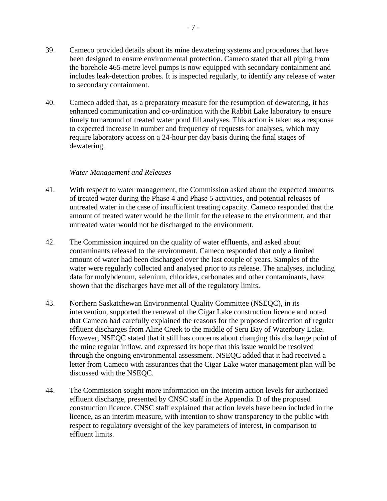- <span id="page-9-0"></span>39. Cameco provided details about its mine dewatering systems and procedures that have been designed to ensure environmental protection. Cameco stated that all piping from the borehole 465-metre level pumps is now equipped with secondary containment and includes leak-detection probes. It is inspected regularly, to identify any release of water to secondary containment.
- 40. Cameco added that, as a preparatory measure for the resumption of dewatering, it has enhanced communication and co-ordination with the Rabbit Lake laboratory to ensure timely turnaround of treated water pond fill analyses. This action is taken as a response to expected increase in number and frequency of requests for analyses, which may require laboratory access on a 24-hour per day basis during the final stages of dewatering.

#### *Water Management and Releases*

- 41. With respect to water management, the Commission asked about the expected amounts of treated water during the Phase 4 and Phase 5 activities, and potential releases of untreated water in the case of insufficient treating capacity. Cameco responded that the amount of treated water would be the limit for the release to the environment, and that untreated water would not be discharged to the environment.
- 42. The Commission inquired on the quality of water effluents, and asked about contaminants released to the environment. Cameco responded that only a limited amount of water had been discharged over the last couple of years. Samples of the water were regularly collected and analysed prior to its release. The analyses, including data for molybdenum, selenium, chlorides, carbonates and other contaminants, have shown that the discharges have met all of the regulatory limits.
- 43. Northern Saskatchewan Environmental Quality Committee (NSEQC), in its intervention, supported the renewal of the Cigar Lake construction licence and noted that Cameco had carefully explained the reasons for the proposed redirection of regular effluent discharges from Aline Creek to the middle of Seru Bay of Waterbury Lake. However, NSEQC stated that it still has concerns about changing this discharge point of the mine regular inflow, and expressed its hope that this issue would be resolved through the ongoing environmental assessment. NSEQC added that it had received a letter from Cameco with assurances that the Cigar Lake water management plan will be discussed with the NSEQC.
- 44. The Commission sought more information on the interim action levels for authorized effluent discharge, presented by CNSC staff in the Appendix D of the proposed construction licence. CNSC staff explained that action levels have been included in the licence, as an interim measure, with intention to show transparency to the public with respect to regulatory oversight of the key parameters of interest, in comparison to effluent limits.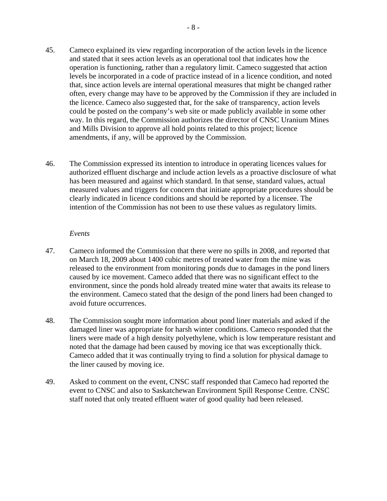- <span id="page-10-0"></span>45. Cameco explained its view regarding incorporation of the action levels in the licence and stated that it sees action levels as an operational tool that indicates how the operation is functioning, rather than a regulatory limit. Cameco suggested that action levels be incorporated in a code of practice instead of in a licence condition, and noted that, since action levels are internal operational measures that might be changed rather often, every change may have to be approved by the Commission if they are included in the licence. Cameco also suggested that, for the sake of transparency, action levels could be posted on the company's web site or made publicly available in some other way. In this regard, the Commission authorizes the director of CNSC Uranium Mines and Mills Division to approve all hold points related to this project; licence amendments, if any, will be approved by the Commission.
- 46. The Commission expressed its intention to introduce in operating licences values for authorized effluent discharge and include action levels as a proactive disclosure of what has been measured and against which standard. In that sense, standard values, actual measured values and triggers for concern that initiate appropriate procedures should be clearly indicated in licence conditions and should be reported by a licensee. The intention of the Commission has not been to use these values as regulatory limits.

#### *Events*

- 47. Cameco informed the Commission that there were no spills in 2008, and reported that on March 18, 2009 about 1400 cubic metres of treated water from the mine was released to the environment from monitoring ponds due to damages in the pond liners caused by ice movement. Cameco added that there was no significant effect to the environment, since the ponds hold already treated mine water that awaits its release to the environment. Cameco stated that the design of the pond liners had been changed to avoid future occurrences.
- 48. The Commission sought more information about pond liner materials and asked if the damaged liner was appropriate for harsh winter conditions. Cameco responded that the liners were made of a high density polyethylene, which is low temperature resistant and noted that the damage had been caused by moving ice that was exceptionally thick. Cameco added that it was continually trying to find a solution for physical damage to the liner caused by moving ice.
- 49. Asked to comment on the event, CNSC staff responded that Cameco had reported the event to CNSC and also to Saskatchewan Environment Spill Response Centre. CNSC staff noted that only treated effluent water of good quality had been released.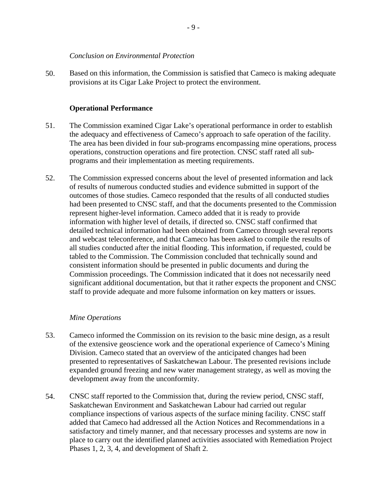#### *Conclusion on Environmental Protection*

<span id="page-11-0"></span>50. Based on this information, the Commission is satisfied that Cameco is making adequate provisions at its Cigar Lake Project to protect the environment.

#### **Operational Performance**

- 51. The Commission examined Cigar Lake's operational performance in order to establish the adequacy and effectiveness of Cameco's approach to safe operation of the facility. The area has been divided in four sub-programs encompassing mine operations, process operations, construction operations and fire protection. CNSC staff rated all subprograms and their implementation as meeting requirements.
- 52. The Commission expressed concerns about the level of presented information and lack of results of numerous conducted studies and evidence submitted in support of the outcomes of those studies. Cameco responded that the results of all conducted studies had been presented to CNSC staff, and that the documents presented to the Commission represent higher-level information. Cameco added that it is ready to provide information with higher level of details, if directed so. CNSC staff confirmed that detailed technical information had been obtained from Cameco through several reports and webcast teleconference, and that Cameco has been asked to compile the results of all studies conducted after the initial flooding. This information, if requested, could be tabled to the Commission. The Commission concluded that technically sound and consistent information should be presented in public documents and during the Commission proceedings. The Commission indicated that it does not necessarily need significant additional documentation, but that it rather expects the proponent and CNSC staff to provide adequate and more fulsome information on key matters or issues.

#### *Mine Operations*

- 53. Cameco informed the Commission on its revision to the basic mine design, as a result of the extensive geoscience work and the operational experience of Cameco's Mining Division. Cameco stated that an overview of the anticipated changes had been presented to representatives of Saskatchewan Labour. The presented revisions include expanded ground freezing and new water management strategy, as well as moving the development away from the unconformity.
- 54. CNSC staff reported to the Commission that, during the review period, CNSC staff, Saskatchewan Environment and Saskatchewan Labour had carried out regular compliance inspections of various aspects of the surface mining facility. CNSC staff added that Cameco had addressed all the Action Notices and Recommendations in a satisfactory and timely manner, and that necessary processes and systems are now in place to carry out the identified planned activities associated with Remediation Project Phases 1, 2, 3, 4, and development of Shaft 2.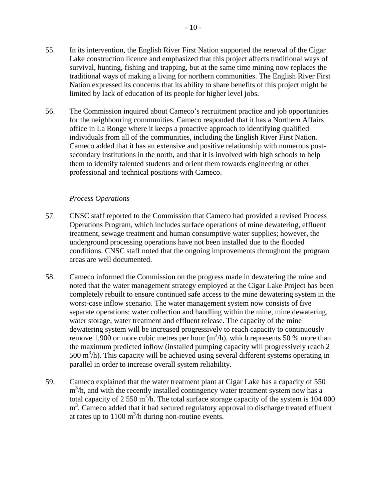<span id="page-12-0"></span>56. The Commission inquired about Cameco's recruitment practice and job opportunities for the neighbouring communities. Cameco responded that it has a Northern Affairs office in La Ronge where it keeps a proactive approach to identifying qualified individuals from all of the communities, including the English River First Nation. Cameco added that it has an extensive and positive relationship with numerous postsecondary institutions in the north, and that it is involved with high schools to help them to identify talented students and orient them towards engineering or other professional and technical positions with Cameco.

## *Process Operations*

- 57. CNSC staff reported to the Commission that Cameco had provided a revised Process Operations Program, which includes surface operations of mine dewatering, effluent treatment, sewage treatment and human consumptive water supplies; however, the underground processing operations have not been installed due to the flooded conditions. CNSC staff noted that the ongoing improvements throughout the program areas are well documented.
- 58. Cameco informed the Commission on the progress made in dewatering the mine and noted that the water management strategy employed at the Cigar Lake Project has been completely rebuilt to ensure continued safe access to the mine dewatering system in the worst-case inflow scenario. The water management system now consists of five separate operations: water collection and handling within the mine, mine dewatering, water storage, water treatment and effluent release. The capacity of the mine dewatering system will be increased progressively to reach capacity to continuously remove 1,900 or more cubic metres per hour  $(m^3/h)$ , which represents 50 % more than the maximum predicted inflow (installed pumping capacity will progressively reach 2 500 m<sup>3</sup>/h). This capacity will be achieved using several different systems operating in parallel in order to increase overall system reliability.
- 59. Cameco explained that the water treatment plant at Cigar Lake has a capacity of 550 m<sup>3</sup>/h, and with the recently installed contingency water treatment system now has a total capacity of 2 550 m<sup>3</sup>/h. The total surface storage capacity of the system is 104 000 m<sup>3</sup>. Cameco added that it had secured regulatory approval to discharge treated effluent at rates up to  $1100 \text{ m}^3$ /h during non-routine events.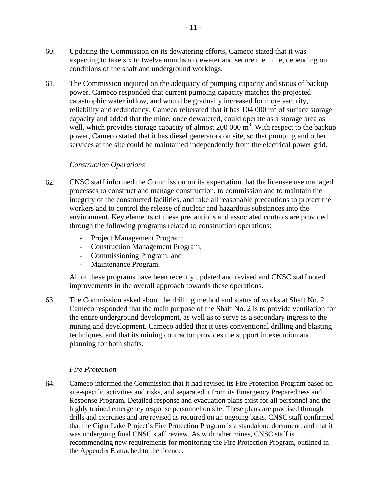- <span id="page-13-0"></span>60. Updating the Commission on its dewatering efforts, Cameco stated that it was expecting to take six to twelve months to dewater and secure the mine, depending on conditions of the shaft and underground workings.
- 61. The Commission inquired on the adequacy of pumping capacity and status of backup power. Cameco responded that current pumping capacity matches the projected catastrophic water inflow, and would be gradually increased for more security, reliability and redundancy. Cameco reiterated that it has  $104\ 000\ \text{m}^3$  of surface storage capacity and added that the mine, once dewatered, could operate as a storage area as well, which provides storage capacity of almost  $200\,000\,\mathrm{m}^3$ . With respect to the backup power, Cameco stated that it has diesel generators on site, so that pumping and other services at the site could be maintained independently from the electrical power grid.

#### *Construction Operations*

- 62. CNSC staff informed the Commission on its expectation that the licensee use managed processes to construct and manage construction, to commission and to maintain the integrity of the constructed facilities, and take all reasonable precautions to protect the workers and to control the release of nuclear and hazardous substances into the environment. Key elements of these precautions and associated controls are provided through the following programs related to construction operations:
	- Project Management Program;
	- Construction Management Program;
	- Commissioning Program; and
	- Maintenance Program.

All of these programs have been recently updated and revised and CNSC staff noted improvements in the overall approach towards these operations.

63. The Commission asked about the drilling method and status of works at Shaft No. 2. Cameco responded that the main purpose of the Shaft No. 2 is to provide ventilation for the entire underground development, as well as to serve as a secondary ingress to the mining and development. Cameco added that it uses conventional drilling and blasting techniques, and that its mining contractor provides the support in execution and planning for both shafts.

#### *Fire Protection*

64. Cameco informed the Commission that it had revised its Fire Protection Program based on site-specific activities and risks, and separated it from its Emergency Preparedness and Response Program*.* Detailed response and evacuation plans exist for all personnel and the highly trained emergency response personnel on site. These plans are practised through drills and exercises and are revised as required on an ongoing basis. CNSC staff confirmed that the Cigar Lake Project's Fire Protection Program is a standalone document, and that it was undergoing final CNSC staff review. As with other mines, CNSC staff is recommending new requirements for monitoring the Fire Protection Program, outlined in the Appendix E attached to the licence.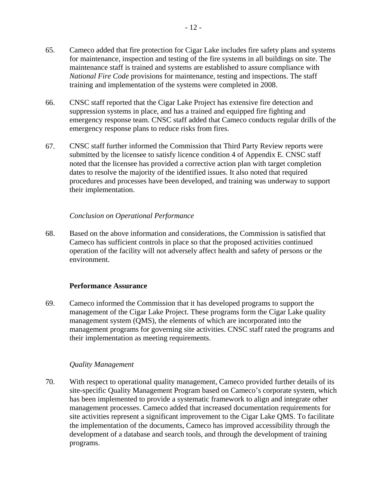- <span id="page-14-0"></span>65. Cameco added that fire protection for Cigar Lake includes fire safety plans and systems for maintenance, inspection and testing of the fire systems in all buildings on site. The maintenance staff is trained and systems are established to assure compliance with *National Fire Code* provisions for maintenance, testing and inspections. The staff training and implementation of the systems were completed in 2008.
- 66. CNSC staff reported that the Cigar Lake Project has extensive fire detection and suppression systems in place, and has a trained and equipped fire fighting and emergency response team. CNSC staff added that Cameco conducts regular drills of the emergency response plans to reduce risks from fires.
- 67. CNSC staff further informed the Commission that Third Party Review reports were submitted by the licensee to satisfy licence condition 4 of Appendix E. CNSC staff noted that the licensee has provided a corrective action plan with target completion dates to resolve the majority of the identified issues. It also noted that required procedures and processes have been developed, and training was underway to support their implementation.

## *Conclusion on Operational Performance*

68. Based on the above information and considerations, the Commission is satisfied that Cameco has sufficient controls in place so that the proposed activities continued operation of the facility will not adversely affect health and safety of persons or the environment.

#### **Performance Assurance**

69. Cameco informed the Commission that it has developed programs to support the management of the Cigar Lake Project. These programs form the Cigar Lake quality management system (QMS), the elements of which are incorporated into the management programs for governing site activities. CNSC staff rated the programs and their implementation as meeting requirements.

#### *Quality Management*

70. With respect to operational quality management, Cameco provided further details of its site-specific Quality Management Program based on Cameco's corporate system, which has been implemented to provide a systematic framework to align and integrate other management processes. Cameco added that increased documentation requirements for site activities represent a significant improvement to the Cigar Lake QMS. To facilitate the implementation of the documents, Cameco has improved accessibility through the development of a database and search tools, and through the development of training programs.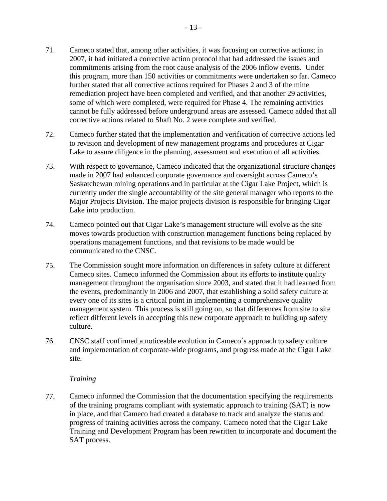- <span id="page-15-0"></span>71. Cameco stated that, among other activities, it was focusing on corrective actions; in 2007, it had initiated a corrective action protocol that had addressed the issues and commitments arising from the root cause analysis of the 2006 inflow events. Under this program, more than 150 activities or commitments were undertaken so far. Cameco further stated that all corrective actions required for Phases 2 and 3 of the mine remediation project have been completed and verified, and that another 29 activities, some of which were completed, were required for Phase 4. The remaining activities cannot be fully addressed before underground areas are assessed. Cameco added that all corrective actions related to Shaft No. 2 were complete and verified.
- 72. Cameco further stated that the implementation and verification of corrective actions led to revision and development of new management programs and procedures at Cigar Lake to assure diligence in the planning, assessment and execution of all activities.
- 73. With respect to governance, Cameco indicated that the organizational structure changes made in 2007 had enhanced corporate governance and oversight across Cameco's Saskatchewan mining operations and in particular at the Cigar Lake Project, which is currently under the single accountability of the site general manager who reports to the Major Projects Division. The major projects division is responsible for bringing Cigar Lake into production.
- 74. Cameco pointed out that Cigar Lake's management structure will evolve as the site moves towards production with construction management functions being replaced by operations management functions, and that revisions to be made would be communicated to the CNSC.
- 75. The Commission sought more information on differences in safety culture at different Cameco sites. Cameco informed the Commission about its efforts to institute quality management throughout the organisation since 2003, and stated that it had learned from the events, predominantly in 2006 and 2007, that establishing a solid safety culture at every one of its sites is a critical point in implementing a comprehensive quality management system. This process is still going on, so that differences from site to site reflect different levels in accepting this new corporate approach to building up safety culture.
- 76. CNSC staff confirmed a noticeable evolution in Cameco`s approach to safety culture and implementation of corporate-wide programs, and progress made at the Cigar Lake site.

## *Training*

77. Cameco informed the Commission that the documentation specifying the requirements of the training programs compliant with systematic approach to training (SAT) is now in place, and that Cameco had created a database to track and analyze the status and progress of training activities across the company. Cameco noted that the Cigar Lake Training and Development Program has been rewritten to incorporate and document the SAT process.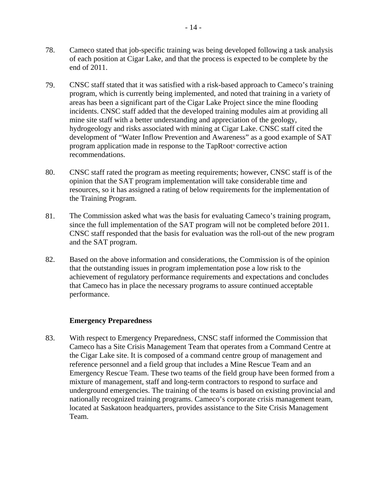- <span id="page-16-0"></span>78. Cameco stated that job-specific training was being developed following a task analysis of each position at Cigar Lake, and that the process is expected to be complete by the end of 2011.
- 79. CNSC staff stated that it was satisfied with a risk-based approach to Cameco's training program, which is currently being implemented, and noted that training in a variety of areas has been a significant part of the Cigar Lake Project since the mine flooding incidents. CNSC staff added that the developed training modules aim at providing all mine site staff with a better understanding and appreciation of the geology, hydrogeology and risks associated with mining at Cigar Lake. CNSC staff cited the development of "Water Inflow Prevention and Awareness" as a good example of SAT program application made in response to the TapRoot® corrective action recommendations.
- 80. CNSC staff rated the program as meeting requirements; however, CNSC staff is of the opinion that the SAT program implementation will take considerable time and resources, so it has assigned a rating of below requirements for the implementation of the Training Program.
- 81. The Commission asked what was the basis for evaluating Cameco's training program, since the full implementation of the SAT program will not be completed before 2011. CNSC staff responded that the basis for evaluation was the roll-out of the new program and the SAT program.
- 82. Based on the above information and considerations, the Commission is of the opinion that the outstanding issues in program implementation pose a low risk to the achievement of regulatory performance requirements and expectations and concludes that Cameco has in place the necessary programs to assure continued acceptable performance.

## **Emergency Preparedness**

83. With respect to Emergency Preparedness, CNSC staff informed the Commission that Cameco has a Site Crisis Management Team that operates from a Command Centre at the Cigar Lake site. It is composed of a command centre group of management and reference personnel and a field group that includes a Mine Rescue Team and an Emergency Rescue Team. These two teams of the field group have been formed from a mixture of management, staff and long-term contractors to respond to surface and underground emergencies. The training of the teams is based on existing provincial and nationally recognized training programs. Cameco's corporate crisis management team, located at Saskatoon headquarters, provides assistance to the Site Crisis Management Team.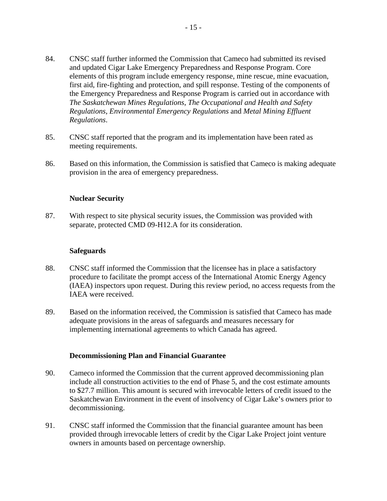- <span id="page-17-0"></span>84. CNSC staff further informed the Commission that Cameco had submitted its revised and updated Cigar Lake Emergency Preparedness and Response Program. Core elements of this program include emergency response, mine rescue, mine evacuation, first aid, fire-fighting and protection, and spill response. Testing of the components of the Emergency Preparedness and Response Program is carried out in accordance with *The Saskatchewan Mines Regulations*, *The Occupational and Health and Safety Regulations*, *Environmental Emergency Regulations* and *Metal Mining Effluent Regulations*.
- 85. CNSC staff reported that the program and its implementation have been rated as meeting requirements.
- 86. Based on this information, the Commission is satisfied that Cameco is making adequate provision in the area of emergency preparedness.

#### **Nuclear Security**

87. With respect to site physical security issues, the Commission was provided with separate, protected CMD 09-H12.A for its consideration.

#### **Safeguards**

- 88. CNSC staff informed the Commission that the licensee has in place a satisfactory procedure to facilitate the prompt access of the International Atomic Energy Agency (IAEA) inspectors upon request. During this review period, no access requests from the IAEA were received.
- 89. Based on the information received, the Commission is satisfied that Cameco has made adequate provisions in the areas of safeguards and measures necessary for implementing international agreements to which Canada has agreed.

#### **Decommissioning Plan and Financial Guarantee**

- 90. Cameco informed the Commission that the current approved decommissioning plan include all construction activities to the end of Phase 5, and the cost estimate amounts to \$27.7 million. This amount is secured with irrevocable letters of credit issued to the Saskatchewan Environment in the event of insolvency of Cigar Lake's owners prior to decommissioning.
- 91. CNSC staff informed the Commission that the financial guarantee amount has been provided through irrevocable letters of credit by the Cigar Lake Project joint venture owners in amounts based on percentage ownership.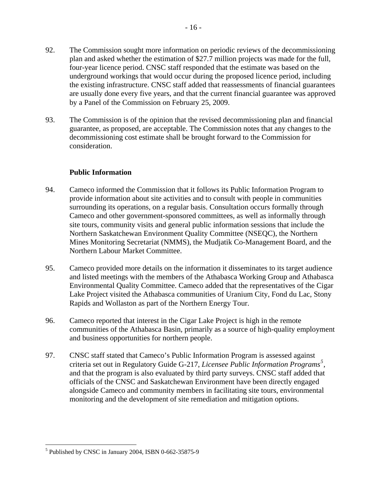- <span id="page-18-0"></span>92. The Commission sought more information on periodic reviews of the decommissioning plan and asked whether the estimation of \$27.7 million projects was made for the full, four-year licence period. CNSC staff responded that the estimate was based on the underground workings that would occur during the proposed licence period, including the existing infrastructure. CNSC staff added that reassessments of financial guarantees are usually done every five years, and that the current financial guarantee was approved by a Panel of the Commission on February 25, 2009.
- 93. The Commission is of the opinion that the revised decommissioning plan and financial guarantee, as proposed, are acceptable. The Commission notes that any changes to the decommissioning cost estimate shall be brought forward to the Commission for consideration.

## **Public Information**

- 94. Cameco informed the Commission that it follows its Public Information Program to provide information about site activities and to consult with people in communities surrounding its operations, on a regular basis. Consultation occurs formally through Cameco and other government-sponsored committees, as well as informally through site tours, community visits and general public information sessions that include the Northern Saskatchewan Environment Quality Committee (NSEQC), the Northern Mines Monitoring Secretariat (NMMS), the Mudjatik Co-Management Board, and the Northern Labour Market Committee.
- 95. Cameco provided more details on the information it disseminates to its target audience and listed meetings with the members of the Athabasca Working Group and Athabasca Environmental Quality Committee. Cameco added that the representatives of the Cigar Lake Project visited the Athabasca communities of Uranium City, Fond du Lac, Stony Rapids and Wollaston as part of the Northern Energy Tour.
- 96. Cameco reported that interest in the Cigar Lake Project is high in the remote communities of the Athabasca Basin, primarily as a source of high-quality employment and business opportunities for northern people.
- 97. CNSC staff stated that Cameco's Public Information Program is assessed against criteria set out in Regulatory Guide G-217, *Licensee Public Information Programs[5](#page-18-1)*  , and that the program is also evaluated by third party surveys. CNSC staff added that officials of the CNSC and Saskatchewan Environment have been directly engaged alongside Cameco and community members in facilitating site tours, environmental monitoring and the development of site remediation and mitigation options.

<span id="page-18-1"></span> $\overline{a}$ <sup>5</sup> Published by CNSC in January 2004, ISBN 0-662-35875-9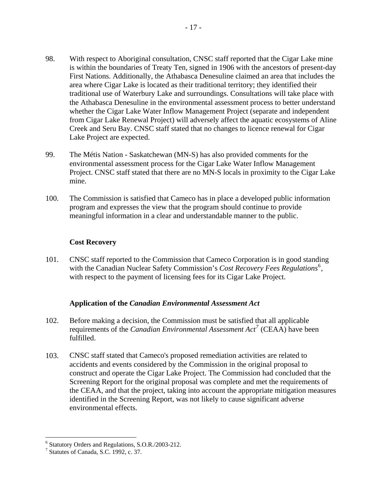- <span id="page-19-0"></span>98. With respect to Aboriginal consultation, CNSC staff reported that the Cigar Lake mine is within the boundaries of Treaty Ten, signed in 1906 with the ancestors of present-day First Nations. Additionally, the Athabasca Denesuline claimed an area that includes the area where Cigar Lake is located as their traditional territory; they identified their traditional use of Waterbury Lake and surroundings. Consultations will take place with the Athabasca Denesuline in the environmental assessment process to better understand whether the Cigar Lake Water Inflow Management Project (separate and independent from Cigar Lake Renewal Project) will adversely affect the aquatic ecosystems of Aline Creek and Seru Bay. CNSC staff stated that no changes to licence renewal for Cigar Lake Project are expected.
- 99. The Métis Nation Saskatchewan (MN-S) has also provided comments for the environmental assessment process for the Cigar Lake Water Inflow Management Project. CNSC staff stated that there are no MN-S locals in proximity to the Cigar Lake mine.
- 100. The Commission is satisfied that Cameco has in place a developed public information program and expresses the view that the program should continue to provide meaningful information in a clear and understandable manner to the public.

## **Cost Recovery**

101. CNSC staff reported to the Commission that Cameco Corporation is in good standing with the Canadian Nuclear Safety Commission's *Cost Recovery Fees Regulations*<sup>[6](#page-19-1)</sup>, with respect to the payment of licensing fees for its Cigar Lake Project.

#### **Application of the** *Canadian Environmental Assessment Act*

- 102. Before making a decision, the Commission must be satisfied that all applicable requirements of the *Canadian Environmental Assessment Act[7](#page-19-2)* (CEAA) have been fulfilled.
- 103. CNSC staff stated that Cameco's proposed remediation activities are related to accidents and events considered by the Commission in the original proposal to construct and operate the Cigar Lake Project. The Commission had concluded that the Screening Report for the original proposal was complete and met the requirements of the CEAA, and that the project, taking into account the appropriate mitigation measures identified in the Screening Report, was not likely to cause significant adverse environmental effects.

<span id="page-19-1"></span> 6 Statutory Orders and Regulations, S.O.R./2003-212.

<span id="page-19-2"></span><sup>7</sup> Statutes of Canada, S.C. 1992, c. 37.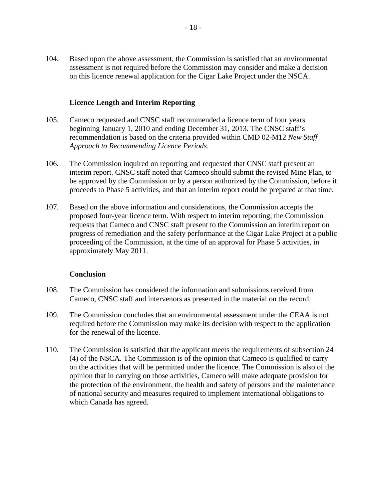<span id="page-20-0"></span>104. Based upon the above assessment, the Commission is satisfied that an environmental assessment is not required before the Commission may consider and make a decision on this licence renewal application for the Cigar Lake Project under the NSCA.

### **Licence Length and Interim Reporting**

- 105. Cameco requested and CNSC staff recommended a licence term of four years beginning January 1, 2010 and ending December 31, 2013. The CNSC staff's recommendation is based on the criteria provided within CMD 02-M12 *New Staff Approach to Recommending Licence Periods*.
- 106. The Commission inquired on reporting and requested that CNSC staff present an interim report. CNSC staff noted that Cameco should submit the revised Mine Plan, to be approved by the Commission or by a person authorized by the Commission, before it proceeds to Phase 5 activities, and that an interim report could be prepared at that time.
- 107. Based on the above information and considerations, the Commission accepts the proposed four-year licence term. With respect to interim reporting, the Commission requests that Cameco and CNSC staff present to the Commission an interim report on progress of remediation and the safety performance at the Cigar Lake Project at a public proceeding of the Commission, at the time of an approval for Phase 5 activities, in approximately May 2011.

#### **Conclusion**

- 108. The Commission has considered the information and submissions received from Cameco, CNSC staff and intervenors as presented in the material on the record.
- 109. The Commission concludes that an environmental assessment under the CEAA is not required before the Commission may make its decision with respect to the application for the renewal of the licence.
- 110. The Commission is satisfied that the applicant meets the requirements of subsection 24 (4) of the NSCA. The Commission is of the opinion that Cameco is qualified to carry on the activities that will be permitted under the licence. The Commission is also of the opinion that in carrying on those activities, Cameco will make adequate provision for the protection of the environment, the health and safety of persons and the maintenance of national security and measures required to implement international obligations to which Canada has agreed.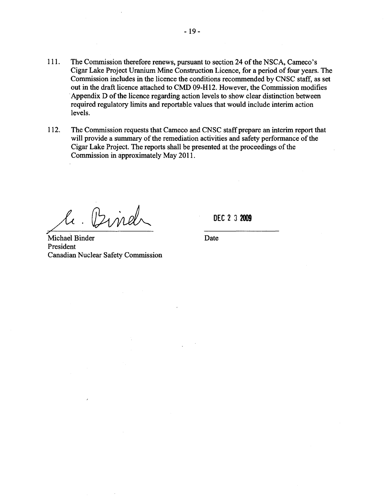- 111. The Commission therefore renews, pursuant to section 24 of the NSCA, Cameco's Cigar Lake Project Uranium Mine Construction Licence, for a period of four years. The Commission includes in the licence the conditions recommended by CNSC staff, as set out in the draft licence attached to CMD 09-H12. However, the Commission modifies . Appendix D of the licence regarding action levels to show clear distinction between required regulatory limits and reportable values that would include interim action levels.
- 112. The Commission requests that Cameco and CNSC staff prepare an interim report that will provide a summary of the remediation activities and safety performance of the Cigar Lake Project. The reports shall be presented at the proceedings of the Commission in approximately May 2011.

 $\frac{l}{\text{del}}$ .  $\frac{l}{\text{Delta}}$  DE

**DEC** 

Michael Binder Date President Canadian Nuclear Safety Commission